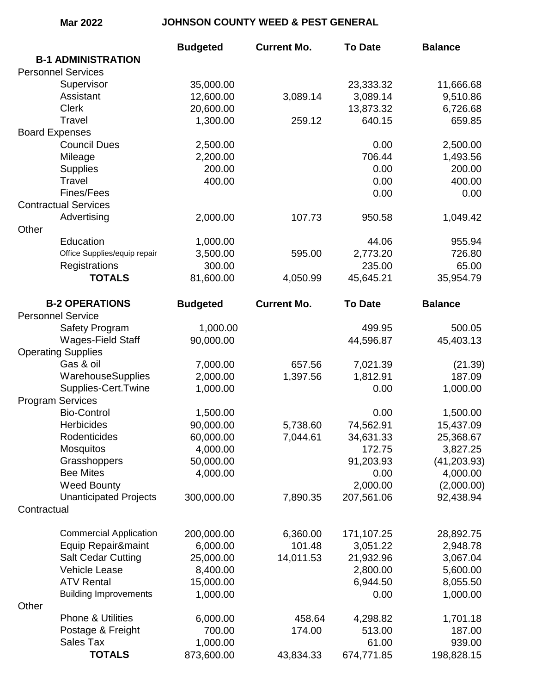## **Mar 2022 JOHNSON COUNTY WEED & PEST GENERAL**

| <b>B-1 ADMINISTRATION</b><br><b>Personnel Services</b><br>Supervisor<br>35,000.00<br>23,333.32<br>11,666.68<br>Assistant<br>12,600.00<br>3,089.14<br>9,510.86<br>3,089.14<br><b>Clerk</b><br>20,600.00<br>13,873.32<br>6,726.68<br>Travel<br>1,300.00<br>640.15<br>659.85<br>259.12<br><b>Board Expenses</b><br><b>Council Dues</b><br>2,500.00<br>2,500.00<br>0.00<br>706.44<br>Mileage<br>2,200.00<br>1,493.56<br>200.00<br><b>Supplies</b><br>200.00<br>0.00<br>Travel<br>400.00<br>400.00<br>0.00<br>Fines/Fees<br>0.00<br>0.00<br><b>Contractual Services</b><br>Advertising<br>2,000.00<br>107.73<br>1,049.42<br>950.58<br>Other<br>Education<br>1,000.00<br>955.94<br>44.06<br>2,773.20<br>726.80<br>Office Supplies/equip repair<br>3,500.00<br>595.00<br>Registrations<br>300.00<br>235.00<br>65.00<br><b>TOTALS</b><br>81,600.00<br>4,050.99<br>45,645.21<br>35,954.79<br><b>B-2 OPERATIONS</b><br><b>Budgeted</b><br><b>Current Mo.</b><br><b>Balance</b><br><b>To Date</b><br><b>Personnel Service</b><br>1,000.00<br>499.95<br>500.05<br>Safety Program<br>Wages-Field Staff<br>90,000.00<br>45,403.13<br>44,596.87<br><b>Operating Supplies</b><br>Gas & oil<br>7,000.00<br>7,021.39<br>657.56<br>(21.39)<br>WarehouseSupplies<br>2,000.00<br>1,397.56<br>1,812.91<br>187.09<br>Supplies-Cert.Twine<br>1,000.00<br>0.00<br>1,000.00<br><b>Program Services</b><br><b>Bio-Control</b><br>1,500.00<br>0.00<br>1,500.00<br><b>Herbicides</b><br>90,000.00<br>5,738.60<br>74,562.91<br>15,437.09<br>Rodenticides<br>60,000.00<br>7,044.61<br>34,631.33<br>25,368.67<br>3,827.25<br><b>Mosquitos</b><br>4,000.00<br>172.75<br>Grasshoppers<br>50,000.00<br>91,203.93<br>(41, 203.93)<br><b>Bee Mites</b><br>4,000.00<br>4,000.00<br>0.00 |
|---------------------------------------------------------------------------------------------------------------------------------------------------------------------------------------------------------------------------------------------------------------------------------------------------------------------------------------------------------------------------------------------------------------------------------------------------------------------------------------------------------------------------------------------------------------------------------------------------------------------------------------------------------------------------------------------------------------------------------------------------------------------------------------------------------------------------------------------------------------------------------------------------------------------------------------------------------------------------------------------------------------------------------------------------------------------------------------------------------------------------------------------------------------------------------------------------------------------------------------------------------------------------------------------------------------------------------------------------------------------------------------------------------------------------------------------------------------------------------------------------------------------------------------------------------------------------------------------------------------------------------------------------------------------------------------------------------------------------------------------------|
|                                                                                                                                                                                                                                                                                                                                                                                                                                                                                                                                                                                                                                                                                                                                                                                                                                                                                                                                                                                                                                                                                                                                                                                                                                                                                                                                                                                                                                                                                                                                                                                                                                                                                                                                                   |
|                                                                                                                                                                                                                                                                                                                                                                                                                                                                                                                                                                                                                                                                                                                                                                                                                                                                                                                                                                                                                                                                                                                                                                                                                                                                                                                                                                                                                                                                                                                                                                                                                                                                                                                                                   |
|                                                                                                                                                                                                                                                                                                                                                                                                                                                                                                                                                                                                                                                                                                                                                                                                                                                                                                                                                                                                                                                                                                                                                                                                                                                                                                                                                                                                                                                                                                                                                                                                                                                                                                                                                   |
|                                                                                                                                                                                                                                                                                                                                                                                                                                                                                                                                                                                                                                                                                                                                                                                                                                                                                                                                                                                                                                                                                                                                                                                                                                                                                                                                                                                                                                                                                                                                                                                                                                                                                                                                                   |
|                                                                                                                                                                                                                                                                                                                                                                                                                                                                                                                                                                                                                                                                                                                                                                                                                                                                                                                                                                                                                                                                                                                                                                                                                                                                                                                                                                                                                                                                                                                                                                                                                                                                                                                                                   |
|                                                                                                                                                                                                                                                                                                                                                                                                                                                                                                                                                                                                                                                                                                                                                                                                                                                                                                                                                                                                                                                                                                                                                                                                                                                                                                                                                                                                                                                                                                                                                                                                                                                                                                                                                   |
|                                                                                                                                                                                                                                                                                                                                                                                                                                                                                                                                                                                                                                                                                                                                                                                                                                                                                                                                                                                                                                                                                                                                                                                                                                                                                                                                                                                                                                                                                                                                                                                                                                                                                                                                                   |
|                                                                                                                                                                                                                                                                                                                                                                                                                                                                                                                                                                                                                                                                                                                                                                                                                                                                                                                                                                                                                                                                                                                                                                                                                                                                                                                                                                                                                                                                                                                                                                                                                                                                                                                                                   |
|                                                                                                                                                                                                                                                                                                                                                                                                                                                                                                                                                                                                                                                                                                                                                                                                                                                                                                                                                                                                                                                                                                                                                                                                                                                                                                                                                                                                                                                                                                                                                                                                                                                                                                                                                   |
|                                                                                                                                                                                                                                                                                                                                                                                                                                                                                                                                                                                                                                                                                                                                                                                                                                                                                                                                                                                                                                                                                                                                                                                                                                                                                                                                                                                                                                                                                                                                                                                                                                                                                                                                                   |
|                                                                                                                                                                                                                                                                                                                                                                                                                                                                                                                                                                                                                                                                                                                                                                                                                                                                                                                                                                                                                                                                                                                                                                                                                                                                                                                                                                                                                                                                                                                                                                                                                                                                                                                                                   |
|                                                                                                                                                                                                                                                                                                                                                                                                                                                                                                                                                                                                                                                                                                                                                                                                                                                                                                                                                                                                                                                                                                                                                                                                                                                                                                                                                                                                                                                                                                                                                                                                                                                                                                                                                   |
|                                                                                                                                                                                                                                                                                                                                                                                                                                                                                                                                                                                                                                                                                                                                                                                                                                                                                                                                                                                                                                                                                                                                                                                                                                                                                                                                                                                                                                                                                                                                                                                                                                                                                                                                                   |
|                                                                                                                                                                                                                                                                                                                                                                                                                                                                                                                                                                                                                                                                                                                                                                                                                                                                                                                                                                                                                                                                                                                                                                                                                                                                                                                                                                                                                                                                                                                                                                                                                                                                                                                                                   |
|                                                                                                                                                                                                                                                                                                                                                                                                                                                                                                                                                                                                                                                                                                                                                                                                                                                                                                                                                                                                                                                                                                                                                                                                                                                                                                                                                                                                                                                                                                                                                                                                                                                                                                                                                   |
|                                                                                                                                                                                                                                                                                                                                                                                                                                                                                                                                                                                                                                                                                                                                                                                                                                                                                                                                                                                                                                                                                                                                                                                                                                                                                                                                                                                                                                                                                                                                                                                                                                                                                                                                                   |
|                                                                                                                                                                                                                                                                                                                                                                                                                                                                                                                                                                                                                                                                                                                                                                                                                                                                                                                                                                                                                                                                                                                                                                                                                                                                                                                                                                                                                                                                                                                                                                                                                                                                                                                                                   |
|                                                                                                                                                                                                                                                                                                                                                                                                                                                                                                                                                                                                                                                                                                                                                                                                                                                                                                                                                                                                                                                                                                                                                                                                                                                                                                                                                                                                                                                                                                                                                                                                                                                                                                                                                   |
|                                                                                                                                                                                                                                                                                                                                                                                                                                                                                                                                                                                                                                                                                                                                                                                                                                                                                                                                                                                                                                                                                                                                                                                                                                                                                                                                                                                                                                                                                                                                                                                                                                                                                                                                                   |
|                                                                                                                                                                                                                                                                                                                                                                                                                                                                                                                                                                                                                                                                                                                                                                                                                                                                                                                                                                                                                                                                                                                                                                                                                                                                                                                                                                                                                                                                                                                                                                                                                                                                                                                                                   |
|                                                                                                                                                                                                                                                                                                                                                                                                                                                                                                                                                                                                                                                                                                                                                                                                                                                                                                                                                                                                                                                                                                                                                                                                                                                                                                                                                                                                                                                                                                                                                                                                                                                                                                                                                   |
|                                                                                                                                                                                                                                                                                                                                                                                                                                                                                                                                                                                                                                                                                                                                                                                                                                                                                                                                                                                                                                                                                                                                                                                                                                                                                                                                                                                                                                                                                                                                                                                                                                                                                                                                                   |
|                                                                                                                                                                                                                                                                                                                                                                                                                                                                                                                                                                                                                                                                                                                                                                                                                                                                                                                                                                                                                                                                                                                                                                                                                                                                                                                                                                                                                                                                                                                                                                                                                                                                                                                                                   |
|                                                                                                                                                                                                                                                                                                                                                                                                                                                                                                                                                                                                                                                                                                                                                                                                                                                                                                                                                                                                                                                                                                                                                                                                                                                                                                                                                                                                                                                                                                                                                                                                                                                                                                                                                   |
|                                                                                                                                                                                                                                                                                                                                                                                                                                                                                                                                                                                                                                                                                                                                                                                                                                                                                                                                                                                                                                                                                                                                                                                                                                                                                                                                                                                                                                                                                                                                                                                                                                                                                                                                                   |
|                                                                                                                                                                                                                                                                                                                                                                                                                                                                                                                                                                                                                                                                                                                                                                                                                                                                                                                                                                                                                                                                                                                                                                                                                                                                                                                                                                                                                                                                                                                                                                                                                                                                                                                                                   |
|                                                                                                                                                                                                                                                                                                                                                                                                                                                                                                                                                                                                                                                                                                                                                                                                                                                                                                                                                                                                                                                                                                                                                                                                                                                                                                                                                                                                                                                                                                                                                                                                                                                                                                                                                   |
|                                                                                                                                                                                                                                                                                                                                                                                                                                                                                                                                                                                                                                                                                                                                                                                                                                                                                                                                                                                                                                                                                                                                                                                                                                                                                                                                                                                                                                                                                                                                                                                                                                                                                                                                                   |
|                                                                                                                                                                                                                                                                                                                                                                                                                                                                                                                                                                                                                                                                                                                                                                                                                                                                                                                                                                                                                                                                                                                                                                                                                                                                                                                                                                                                                                                                                                                                                                                                                                                                                                                                                   |
|                                                                                                                                                                                                                                                                                                                                                                                                                                                                                                                                                                                                                                                                                                                                                                                                                                                                                                                                                                                                                                                                                                                                                                                                                                                                                                                                                                                                                                                                                                                                                                                                                                                                                                                                                   |
|                                                                                                                                                                                                                                                                                                                                                                                                                                                                                                                                                                                                                                                                                                                                                                                                                                                                                                                                                                                                                                                                                                                                                                                                                                                                                                                                                                                                                                                                                                                                                                                                                                                                                                                                                   |
|                                                                                                                                                                                                                                                                                                                                                                                                                                                                                                                                                                                                                                                                                                                                                                                                                                                                                                                                                                                                                                                                                                                                                                                                                                                                                                                                                                                                                                                                                                                                                                                                                                                                                                                                                   |
|                                                                                                                                                                                                                                                                                                                                                                                                                                                                                                                                                                                                                                                                                                                                                                                                                                                                                                                                                                                                                                                                                                                                                                                                                                                                                                                                                                                                                                                                                                                                                                                                                                                                                                                                                   |
|                                                                                                                                                                                                                                                                                                                                                                                                                                                                                                                                                                                                                                                                                                                                                                                                                                                                                                                                                                                                                                                                                                                                                                                                                                                                                                                                                                                                                                                                                                                                                                                                                                                                                                                                                   |
|                                                                                                                                                                                                                                                                                                                                                                                                                                                                                                                                                                                                                                                                                                                                                                                                                                                                                                                                                                                                                                                                                                                                                                                                                                                                                                                                                                                                                                                                                                                                                                                                                                                                                                                                                   |
| <b>Weed Bounty</b><br>2,000.00<br>(2,000.00)                                                                                                                                                                                                                                                                                                                                                                                                                                                                                                                                                                                                                                                                                                                                                                                                                                                                                                                                                                                                                                                                                                                                                                                                                                                                                                                                                                                                                                                                                                                                                                                                                                                                                                      |
| <b>Unanticipated Projects</b><br>300,000.00<br>207,561.06<br>92,438.94<br>7,890.35                                                                                                                                                                                                                                                                                                                                                                                                                                                                                                                                                                                                                                                                                                                                                                                                                                                                                                                                                                                                                                                                                                                                                                                                                                                                                                                                                                                                                                                                                                                                                                                                                                                                |
| Contractual                                                                                                                                                                                                                                                                                                                                                                                                                                                                                                                                                                                                                                                                                                                                                                                                                                                                                                                                                                                                                                                                                                                                                                                                                                                                                                                                                                                                                                                                                                                                                                                                                                                                                                                                       |
|                                                                                                                                                                                                                                                                                                                                                                                                                                                                                                                                                                                                                                                                                                                                                                                                                                                                                                                                                                                                                                                                                                                                                                                                                                                                                                                                                                                                                                                                                                                                                                                                                                                                                                                                                   |
| <b>Commercial Application</b><br>200,000.00<br>6,360.00<br>171,107.25<br>28,892.75                                                                                                                                                                                                                                                                                                                                                                                                                                                                                                                                                                                                                                                                                                                                                                                                                                                                                                                                                                                                                                                                                                                                                                                                                                                                                                                                                                                                                                                                                                                                                                                                                                                                |
| Equip Repair&maint<br>6,000.00<br>101.48<br>2,948.78<br>3,051.22                                                                                                                                                                                                                                                                                                                                                                                                                                                                                                                                                                                                                                                                                                                                                                                                                                                                                                                                                                                                                                                                                                                                                                                                                                                                                                                                                                                                                                                                                                                                                                                                                                                                                  |
| <b>Salt Cedar Cutting</b><br>25,000.00<br>14,011.53<br>21,932.96<br>3,067.04                                                                                                                                                                                                                                                                                                                                                                                                                                                                                                                                                                                                                                                                                                                                                                                                                                                                                                                                                                                                                                                                                                                                                                                                                                                                                                                                                                                                                                                                                                                                                                                                                                                                      |
| <b>Vehicle Lease</b><br>8,400.00<br>2,800.00<br>5,600.00                                                                                                                                                                                                                                                                                                                                                                                                                                                                                                                                                                                                                                                                                                                                                                                                                                                                                                                                                                                                                                                                                                                                                                                                                                                                                                                                                                                                                                                                                                                                                                                                                                                                                          |
| <b>ATV Rental</b><br>15,000.00<br>6,944.50<br>8,055.50                                                                                                                                                                                                                                                                                                                                                                                                                                                                                                                                                                                                                                                                                                                                                                                                                                                                                                                                                                                                                                                                                                                                                                                                                                                                                                                                                                                                                                                                                                                                                                                                                                                                                            |
| <b>Building Improvements</b><br>1,000.00<br>1,000.00<br>0.00                                                                                                                                                                                                                                                                                                                                                                                                                                                                                                                                                                                                                                                                                                                                                                                                                                                                                                                                                                                                                                                                                                                                                                                                                                                                                                                                                                                                                                                                                                                                                                                                                                                                                      |
| Other                                                                                                                                                                                                                                                                                                                                                                                                                                                                                                                                                                                                                                                                                                                                                                                                                                                                                                                                                                                                                                                                                                                                                                                                                                                                                                                                                                                                                                                                                                                                                                                                                                                                                                                                             |
| <b>Phone &amp; Utilities</b><br>6,000.00<br>458.64<br>4,298.82<br>1,701.18                                                                                                                                                                                                                                                                                                                                                                                                                                                                                                                                                                                                                                                                                                                                                                                                                                                                                                                                                                                                                                                                                                                                                                                                                                                                                                                                                                                                                                                                                                                                                                                                                                                                        |
| Postage & Freight<br>700.00<br>513.00<br>187.00<br>174.00                                                                                                                                                                                                                                                                                                                                                                                                                                                                                                                                                                                                                                                                                                                                                                                                                                                                                                                                                                                                                                                                                                                                                                                                                                                                                                                                                                                                                                                                                                                                                                                                                                                                                         |
| <b>Sales Tax</b><br>1,000.00<br>939.00<br>61.00                                                                                                                                                                                                                                                                                                                                                                                                                                                                                                                                                                                                                                                                                                                                                                                                                                                                                                                                                                                                                                                                                                                                                                                                                                                                                                                                                                                                                                                                                                                                                                                                                                                                                                   |
| <b>TOTALS</b><br>873,600.00<br>674,771.85<br>198,828.15<br>43,834.33                                                                                                                                                                                                                                                                                                                                                                                                                                                                                                                                                                                                                                                                                                                                                                                                                                                                                                                                                                                                                                                                                                                                                                                                                                                                                                                                                                                                                                                                                                                                                                                                                                                                              |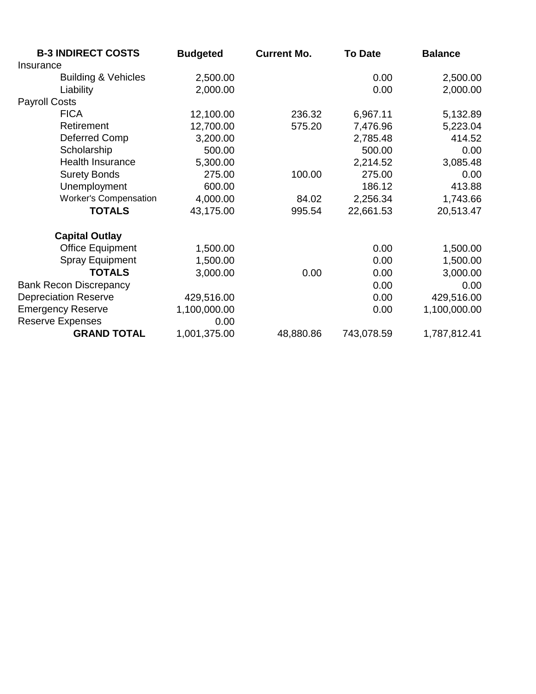| <b>B-3 INDIRECT COSTS</b>      | <b>Budgeted</b> | <b>Current Mo.</b> | <b>To Date</b> | <b>Balance</b> |
|--------------------------------|-----------------|--------------------|----------------|----------------|
| Insurance                      |                 |                    |                |                |
| <b>Building &amp; Vehicles</b> | 2,500.00        |                    | 0.00           | 2,500.00       |
| Liability                      | 2,000.00        |                    | 0.00           | 2,000.00       |
| <b>Payroll Costs</b>           |                 |                    |                |                |
| <b>FICA</b>                    | 12,100.00       | 236.32             | 6,967.11       | 5,132.89       |
| Retirement                     | 12,700.00       | 575.20             | 7,476.96       | 5,223.04       |
| Deferred Comp                  | 3,200.00        |                    | 2,785.48       | 414.52         |
| Scholarship                    | 500.00          |                    | 500.00         | 0.00           |
| <b>Health Insurance</b>        | 5,300.00        |                    | 2,214.52       | 3,085.48       |
| <b>Surety Bonds</b>            | 275.00          | 100.00             | 275.00         | 0.00           |
| Unemployment                   | 600.00          |                    | 186.12         | 413.88         |
| <b>Worker's Compensation</b>   | 4,000.00        | 84.02              | 2,256.34       | 1,743.66       |
| <b>TOTALS</b>                  | 43,175.00       | 995.54             | 22,661.53      | 20,513.47      |
| <b>Capital Outlay</b>          |                 |                    |                |                |
| <b>Office Equipment</b>        | 1,500.00        |                    | 0.00           | 1,500.00       |
| <b>Spray Equipment</b>         | 1,500.00        |                    | 0.00           | 1,500.00       |
| <b>TOTALS</b>                  | 3,000.00        | 0.00               | 0.00           | 3,000.00       |
| <b>Bank Recon Discrepancy</b>  |                 |                    | 0.00           | 0.00           |
| <b>Depreciation Reserve</b>    | 429,516.00      |                    | 0.00           | 429,516.00     |
| <b>Emergency Reserve</b>       | 1,100,000.00    |                    | 0.00           | 1,100,000.00   |
| <b>Reserve Expenses</b>        | 0.00            |                    |                |                |
| <b>GRAND TOTAL</b>             | 1,001,375.00    | 48,880.86          | 743,078.59     | 1,787,812.41   |